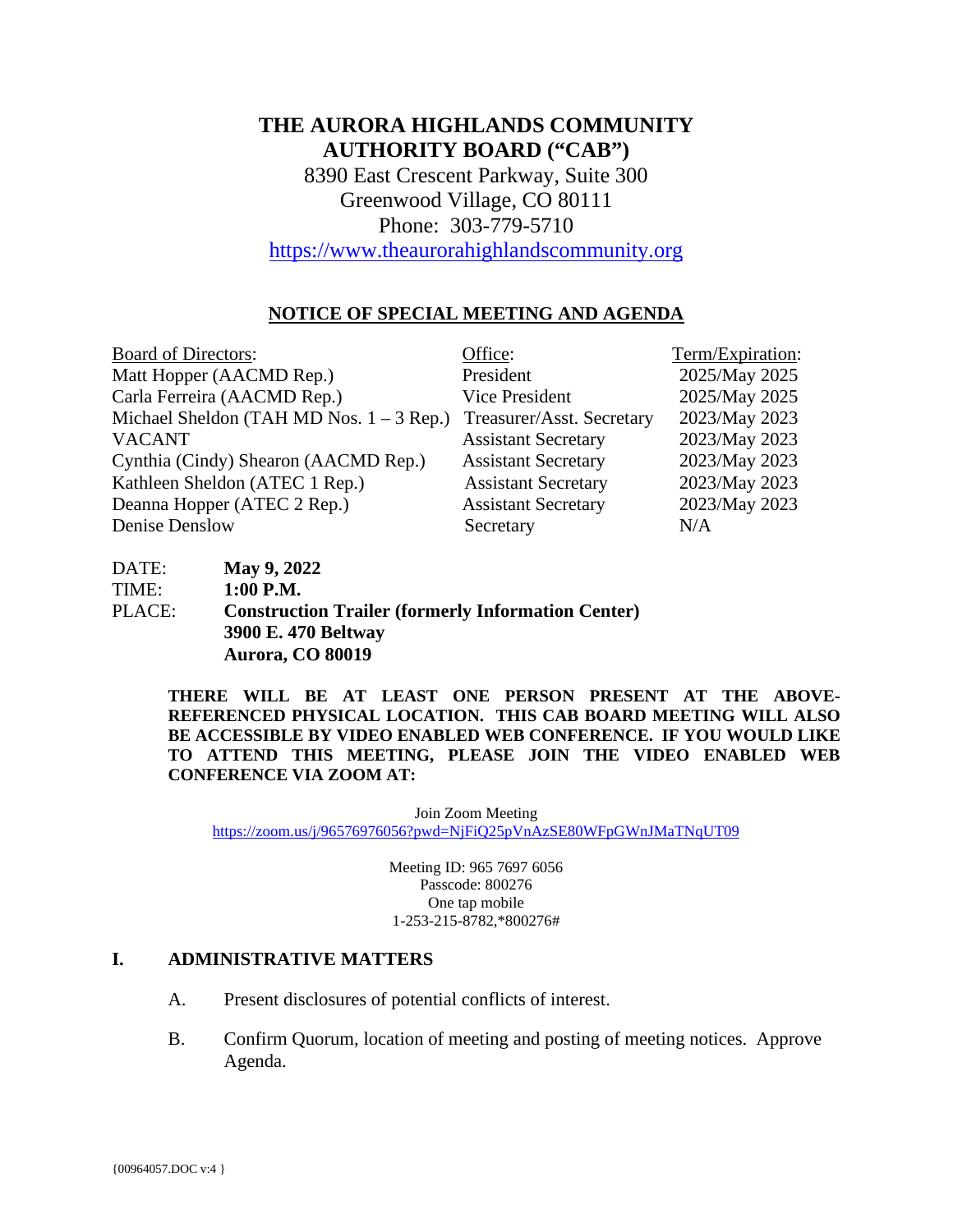# **THE AURORA HIGHLANDS COMMUNITY AUTHORITY BOARD ("CAB")**

8390 East Crescent Parkway, Suite 300 Greenwood Village, CO 80111 Phone: 303-779-5710

[https://www.theaurorahighlandscommunity.org](https://www.theaurorahighlandscommunity.org/)

#### **NOTICE OF SPECIAL MEETING AND AGENDA**

| <b>Board of Directors:</b>                 | Office:                    | Term/Expiration: |
|--------------------------------------------|----------------------------|------------------|
| Matt Hopper (AACMD Rep.)                   | President                  | 2025/May 2025    |
| Carla Ferreira (AACMD Rep.)                | Vice President             | 2025/May 2025    |
| Michael Sheldon (TAH MD Nos. $1 - 3$ Rep.) | Treasurer/Asst. Secretary  | 2023/May 2023    |
| <b>VACANT</b>                              | <b>Assistant Secretary</b> | 2023/May 2023    |
| Cynthia (Cindy) Shearon (AACMD Rep.)       | <b>Assistant Secretary</b> | 2023/May 2023    |
| Kathleen Sheldon (ATEC 1 Rep.)             | <b>Assistant Secretary</b> | 2023/May 2023    |
| Deanna Hopper (ATEC 2 Rep.)                | <b>Assistant Secretary</b> | 2023/May 2023    |
| Denise Denslow                             | Secretary                  | N/A              |

| DATE:  | <b>May 9, 2022</b>                                        |
|--------|-----------------------------------------------------------|
| TIME:  | $1:00$ P.M.                                               |
| PLACE: | <b>Construction Trailer (formerly Information Center)</b> |
|        | 3900 E. 470 Beltway                                       |
|        | Aurora, CO 80019                                          |

**THERE WILL BE AT LEAST ONE PERSON PRESENT AT THE ABOVE-REFERENCED PHYSICAL LOCATION. THIS CAB BOARD MEETING WILL ALSO BE ACCESSIBLE BY VIDEO ENABLED WEB CONFERENCE. IF YOU WOULD LIKE TO ATTEND THIS MEETING, PLEASE JOIN THE VIDEO ENABLED WEB CONFERENCE VIA ZOOM AT:**

Join Zoom Meeting <https://zoom.us/j/96576976056?pwd=NjFiQ25pVnAzSE80WFpGWnJMaTNqUT09>

> Meeting ID: 965 7697 6056 Passcode: 800276 One tap mobile 1-253-215-8782,\*800276#

#### **I. ADMINISTRATIVE MATTERS**

- A. Present disclosures of potential conflicts of interest.
- B. Confirm Quorum, location of meeting and posting of meeting notices. Approve Agenda.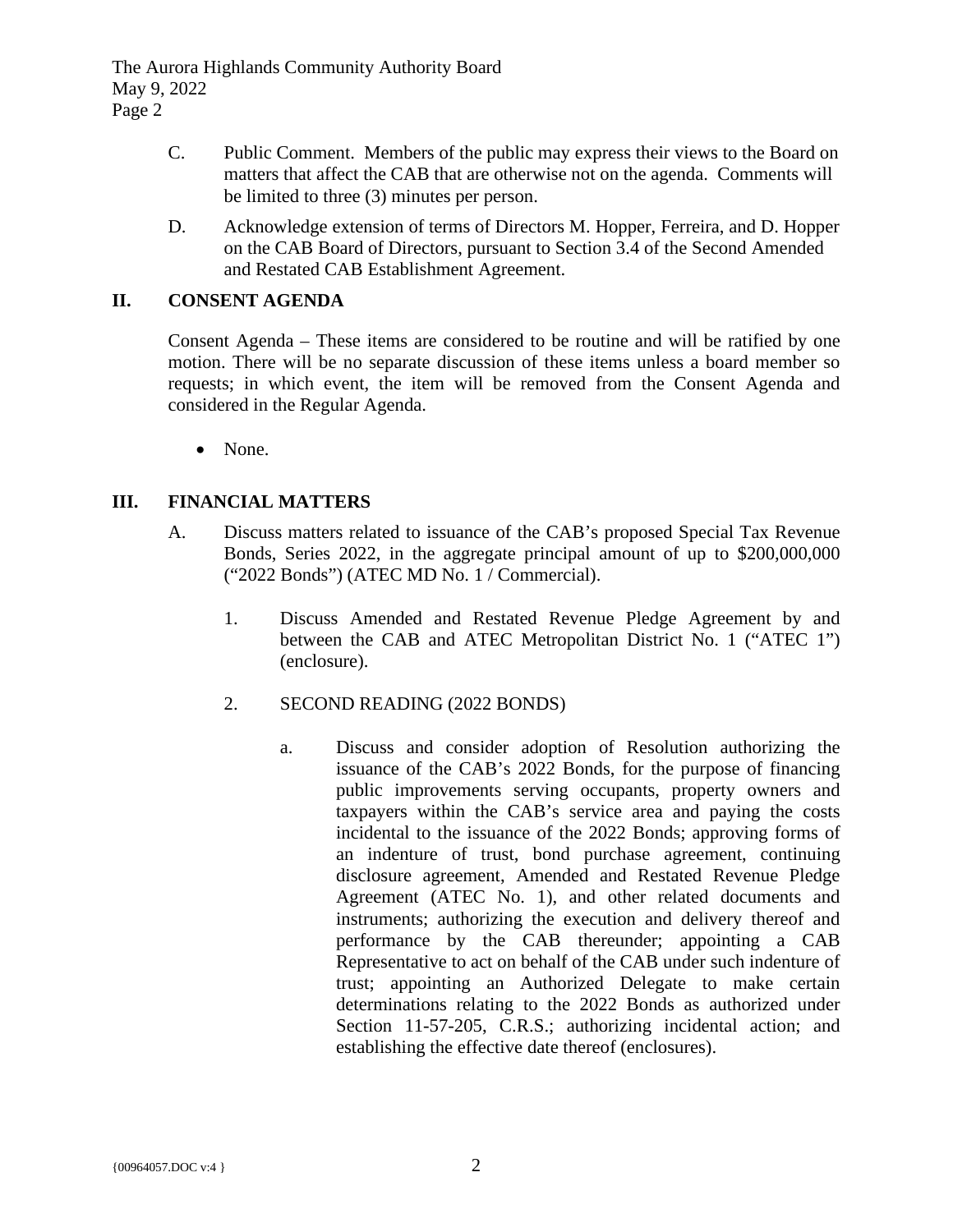The Aurora Highlands Community Authority Board May 9, 2022 Page 2

- C. Public Comment. Members of the public may express their views to the Board on matters that affect the CAB that are otherwise not on the agenda. Comments will be limited to three (3) minutes per person.
- D. Acknowledge extension of terms of Directors M. Hopper, Ferreira, and D. Hopper on the CAB Board of Directors, pursuant to Section 3.4 of the Second Amended and Restated CAB Establishment Agreement.

#### **II. CONSENT AGENDA**

Consent Agenda – These items are considered to be routine and will be ratified by one motion. There will be no separate discussion of these items unless a board member so requests; in which event, the item will be removed from the Consent Agenda and considered in the Regular Agenda.

• None.

### **III. FINANCIAL MATTERS**

- A. Discuss matters related to issuance of the CAB's proposed Special Tax Revenue Bonds, Series 2022, in the aggregate principal amount of up to \$200,000,000 ("2022 Bonds") (ATEC MD No. 1 / Commercial).
	- 1. Discuss Amended and Restated Revenue Pledge Agreement by and between the CAB and ATEC Metropolitan District No. 1 ("ATEC 1") (enclosure).
	- 2. SECOND READING (2022 BONDS)
		- a. Discuss and consider adoption of Resolution authorizing the issuance of the CAB's 2022 Bonds, for the purpose of financing public improvements serving occupants, property owners and taxpayers within the CAB's service area and paying the costs incidental to the issuance of the 2022 Bonds; approving forms of an indenture of trust, bond purchase agreement, continuing disclosure agreement, Amended and Restated Revenue Pledge Agreement (ATEC No. 1), and other related documents and instruments; authorizing the execution and delivery thereof and performance by the CAB thereunder; appointing a CAB Representative to act on behalf of the CAB under such indenture of trust; appointing an Authorized Delegate to make certain determinations relating to the 2022 Bonds as authorized under Section 11-57-205, C.R.S.; authorizing incidental action; and establishing the effective date thereof (enclosures).